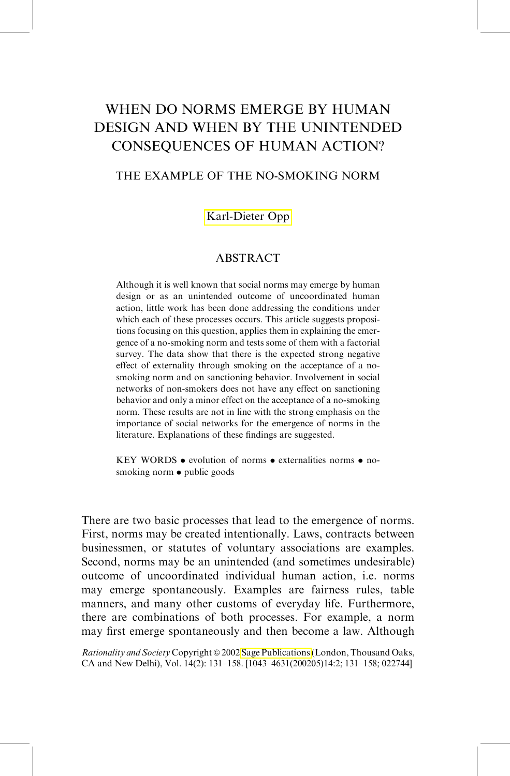# WHEN DO NORMS EMERGE BY HUMAN DESIGN AND WHEN BY THE UNINTENDED **CONSEQUENCES OF HUMAN ACTION?**

# THE EXAMPLE OF THE NO-SMOKING NORM

Karl-Dieter Opp

# **ABSTRACT**

Although it is well known that social norms may emerge by human design or as an unintended outcome of uncoordinated human action, little work has been done addressing the conditions under which each of these processes occurs. This article suggests propositions focusing on this question, applies them in explaining the emergence of a no-smoking norm and tests some of them with a factorial survey. The data show that there is the expected strong negative effect of externality through smoking on the acceptance of a nosmoking norm and on sanctioning behavior. Involvement in social networks of non-smokers does not have any effect on sanctioning behavior and only a minor effect on the acceptance of a no-smoking norm. These results are not in line with the strong emphasis on the importance of social networks for the emergence of norms in the literature. Explanations of these findings are suggested.

KEY WORDS  $\bullet$  evolution of norms  $\bullet$  externalities norms  $\bullet$  nosmoking norm • public goods

There are two basic processes that lead to the emergence of norms. First, norms may be created intentionally. Laws, contracts between businessmen, or statutes of voluntary associations are examples. Second, norms may be an unintended (and sometimes undesirable) outcome of uncoordinated individual human action, *i.e.* norms may emerge spontaneously. Examples are fairness rules, table manners, and many other customs of everyday life. Furthermore, there are combinations of both processes. For example, a norm may first emerge spontaneously and then become a law. Although

Rationality and Society Copyright © 2002 Sage Publications (London, Thousand Oaks, CA and New Delhi), Vol. 14(2): 131–158. [1043–4631(200205)14:2; 131–158; 022744]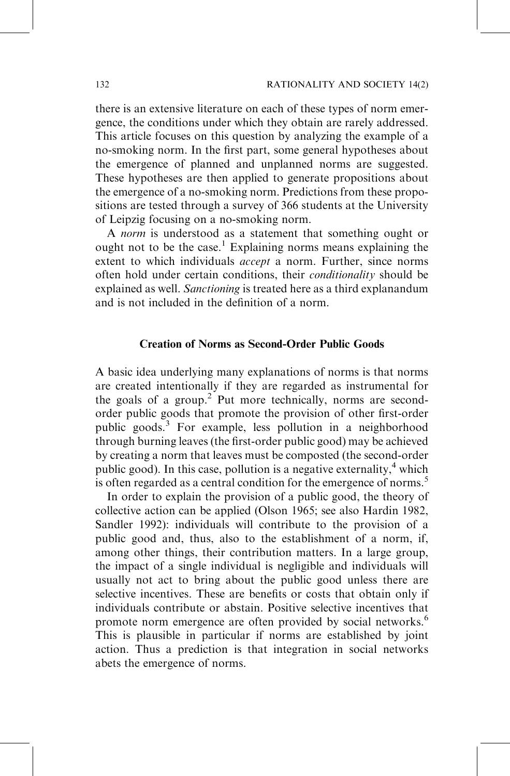there is an extensive literature on each of these types of norm emergence, the conditions under which they obtain are rarely addressed. This article focuses on this question by analyzing the example of a no-smoking norm. In the first part, some general hypotheses about the emergence of planned and unplanned norms are suggested. These hypotheses are then applied to generate propositions about the emergence of a no-smoking norm. Predictions from these propositions are tested through a survey of 366 students at the University of Leipzig focusing on a no-smoking norm.

A norm is understood as a statement that something ought or ought not to be the case.<sup>1</sup> Explaining norms means explaining the extent to which individuals  $\vec{accept}$  a norm. Further, since norms often hold under certain conditions, their *conditionality* should be explained as well. Sanctioning is treated here as a third explanandum and is not included in the definition of a norm

## **Creation of Norms as Second-Order Public Goods**

A basic idea underlying many explanations of norms is that norms are created intentionally if they are regarded as instrumental for the goals of a group.<sup>2</sup> Put more technically, norms are secondorder public goods that promote the provision of other first-order public goods.<sup>3</sup> For example, less pollution in a neighborhood through burning leaves (the first-order public good) may be achieved by creating a norm that leaves must be composted (the second-order public good). In this case, pollution is a negative externality,<sup>4</sup> which is often regarded as a central condition for the emergence of norms.<sup>5</sup>

In order to explain the provision of a public good, the theory of collective action can be applied (Olson 1965; see also Hardin 1982, Sandler 1992): individuals will contribute to the provision of a public good and, thus, also to the establishment of a norm, if, among other things, their contribution matters. In a large group, the impact of a single individual is negligible and individuals will usually not act to bring about the public good unless there are selective incentives. These are benefits or costs that obtain only if individuals contribute or abstain. Positive selective incentives that promote norm emergence are often provided by social networks.<sup>6</sup> This is plausible in particular if norms are established by joint action. Thus a prediction is that integration in social networks abets the emergence of norms.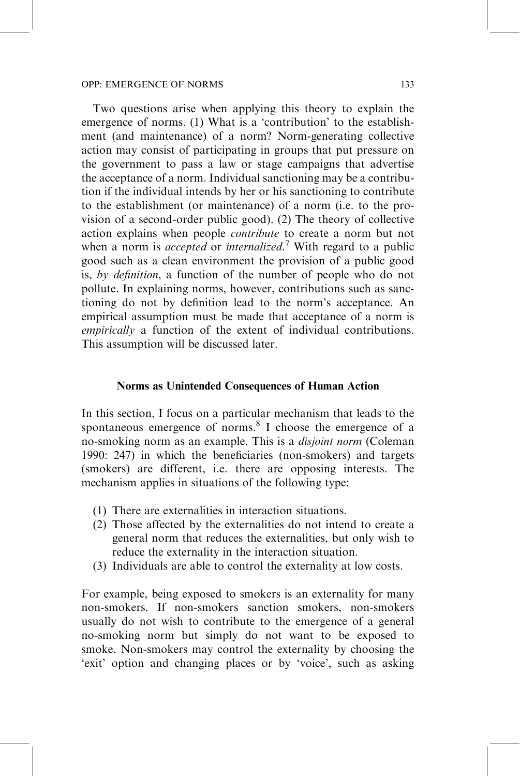Two questions arise when applying this theory to explain the emergence of norms. (1) What is a 'contribution' to the establishment (and maintenance) of a norm? Norm-generating collective action may consist of participating in groups that put pressure on the government to pass a law or stage campaigns that advertise the acceptance of a norm. Individual sanctioning may be a contribution if the individual intends by her or his sanctioning to contribute to the establishment (or maintenance) of a norm (i.e. to the provision of a second-order public good). (2) The theory of collective action explains when people *contribute* to create a norm but not when a norm is *accepted* or *internalized*.<sup>7</sup> With regard to a public good such as a clean environment the provision of a public good is, by definition, a function of the number of people who do not pollute. In explaining norms, however, contributions such as sanctioning do not by definition lead to the norm's acceptance. An empirical assumption must be made that acceptance of a norm is *empirically* a function of the extent of individual contributions. This assumption will be discussed later.

## Norms as Unintended Consequences of Human Action

In this section, I focus on a particular mechanism that leads to the spontaneous emergence of norms.<sup>8</sup> I choose the emergence of a no-smoking norm as an example. This is a *disjoint norm* (Coleman 1990: 247) in which the beneficiaries (non-smokers) and targets (smokers) are different, i.e. there are opposing interests. The mechanism applies in situations of the following type:

- (1) There are externalities in interaction situations.
- (2) Those affected by the externalities do not intend to create a general norm that reduces the externalities, but only wish to reduce the externality in the interaction situation.
- (3) Individuals are able to control the externality at low costs.

For example, being exposed to smokers is an externality for many non-smokers. If non-smokers sanction smokers, non-smokers usually do not wish to contribute to the emergence of a general no-smoking norm but simply do not want to be exposed to smoke. Non-smokers may control the externality by choosing the 'exit' option and changing places or by 'voice', such as asking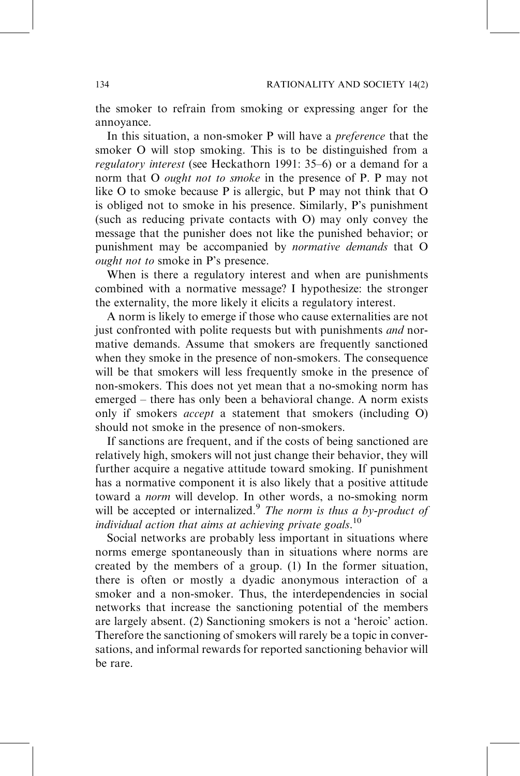the smoker to refrain from smoking or expressing anger for the annovance.

In this situation, a non-smoker P will have a *preference* that the smoker O will stop smoking. This is to be distinguished from a *regulatory interest* (see Heckathorn 1991: 35–6) or a demand for a norm that O *ought not to smoke* in the presence of P. P may not like O to smoke because P is allergic, but P may not think that O is obliged not to smoke in his presence. Similarly, P's punishment (such as reducing private contacts with O) may only convey the message that the punisher does not like the punished behavior; or punishment may be accompanied by *normative demands* that O *ought not to smoke in P's presence.* 

When is there a regulatory interest and when are punishments combined with a normative message? I hypothesize: the stronger the externality, the more likely it elicits a regulatory interest.

A norm is likely to emerge if those who cause externalities are not just confronted with polite requests but with punishments *and* normative demands. Assume that smokers are frequently sanctioned when they smoke in the presence of non-smokers. The consequence will be that smokers will less frequently smoke in the presence of non-smokers. This does not yet mean that a no-smoking norm has emerged – there has only been a behavioral change. A norm exists only if smokers *accept* a statement that smokers (including O) should not smoke in the presence of non-smokers.

If sanctions are frequent, and if the costs of being sanctioned are relatively high, smokers will not just change their behavior, they will further acquire a negative attitude toward smoking. If punishment has a normative component it is also likely that a positive attitude toward a norm will develop. In other words, a no-smoking norm will be accepted or internalized.<sup>9</sup> The norm is thus a by-product of individual action that aims at achieving private goals.<sup>10</sup>

Social networks are probably less important in situations where norms emerge spontaneously than in situations where norms are created by the members of a group. (1) In the former situation, there is often or mostly a dyadic anonymous interaction of a smoker and a non-smoker. Thus, the interdependencies in social networks that increase the sanctioning potential of the members are largely absent. (2) Sanctioning smokers is not a 'heroic' action. Therefore the sanctioning of smokers will rarely be a topic in conversations, and informal rewards for reported sanctioning behavior will be rare.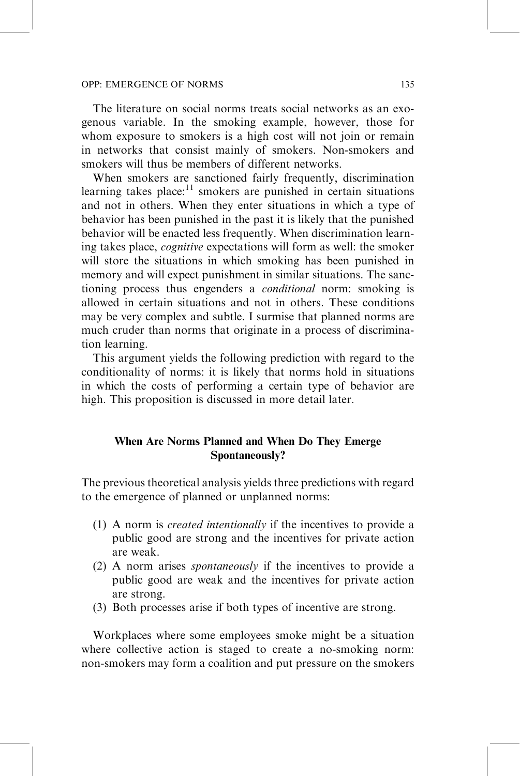The literature on social norms treats social networks as an exogenous variable. In the smoking example, however, those for whom exposure to smokers is a high cost will not join or remain in networks that consist mainly of smokers. Non-smokers and smokers will thus be members of different networks.

When smokers are sanctioned fairly frequently, discrimination learning takes place: $\frac{11}{11}$  smokers are punished in certain situations and not in others. When they enter situations in which a type of behavior has been punished in the past it is likely that the punished behavior will be enacted less frequently. When discrimination learning takes place, *cognitive* expectations will form as well: the smoker will store the situations in which smoking has been punished in memory and will expect punishment in similar situations. The sanctioning process thus engenders a *conditional* norm: smoking is allowed in certain situations and not in others. These conditions may be very complex and subtle. I surmise that planned norms are much cruder than norms that originate in a process of discrimination learning.

This argument yields the following prediction with regard to the conditionality of norms: it is likely that norms hold in situations in which the costs of performing a certain type of behavior are high. This proposition is discussed in more detail later.

# When Are Norms Planned and When Do They Emerge Spontaneously?

The previous theoretical analysis yields three predictions with regard to the emergence of planned or unplanned norms:

- (1) A norm is *created intentionally* if the incentives to provide a public good are strong and the incentives for private action are weak.
- (2) A norm arises *spontaneously* if the incentives to provide a public good are weak and the incentives for private action are strong.
- (3) Both processes arise if both types of incentive are strong.

Workplaces where some employees smoke might be a situation where collective action is staged to create a no-smoking norm: non-smokers may form a coalition and put pressure on the smokers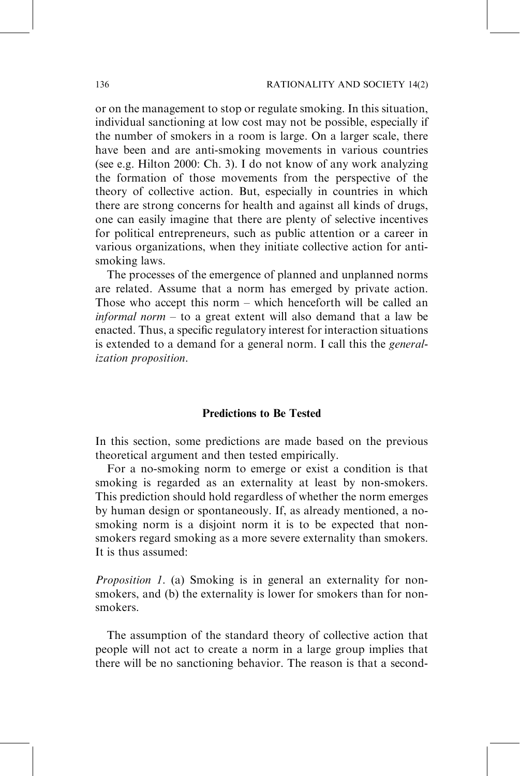or on the management to stop or regulate smoking. In this situation, individual sanctioning at low cost may not be possible, especially if the number of smokers in a room is large. On a larger scale, there have been and are anti-smoking movements in various countries (see e.g. Hilton 2000: Ch. 3). I do not know of any work analyzing the formation of those movements from the perspective of the theory of collective action. But, especially in countries in which there are strong concerns for health and against all kinds of drugs, one can easily imagine that there are plenty of selective incentives for political entrepreneurs, such as public attention or a career in various organizations, when they initiate collective action for antismoking laws.

The processes of the emergence of planned and unplanned norms are related. Assume that a norm has emerged by private action. Those who accept this norm – which henceforth will be called an *informal norm*  $-$  to a great extent will also demand that a law be enacted. Thus, a specific regulatory interest for interaction situations is extended to a demand for a general norm. I call this the *generalization* proposition.

## **Predictions to Be Tested**

In this section, some predictions are made based on the previous theoretical argument and then tested empirically.

For a no-smoking norm to emerge or exist a condition is that smoking is regarded as an externality at least by non-smokers. This prediction should hold regardless of whether the norm emerges by human design or spontaneously. If, as already mentioned, a nosmoking norm is a disjoint norm it is to be expected that nonsmokers regard smoking as a more severe externality than smokers. It is thus assumed:

*Proposition 1.* (a) Smoking is in general an externality for nonsmokers, and (b) the externality is lower for smokers than for nonsmokers.

The assumption of the standard theory of collective action that people will not act to create a norm in a large group implies that there will be no sanctioning behavior. The reason is that a second-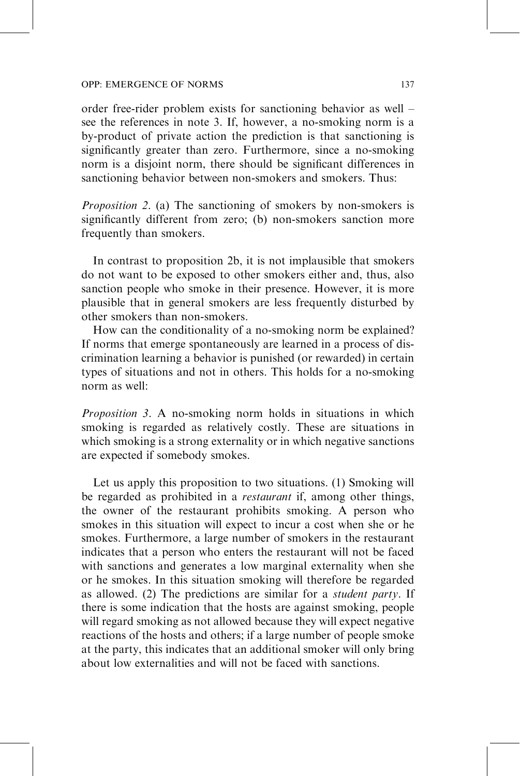## OPP<sup>.</sup> EMERGENCE OF NORMS

order free-rider problem exists for sanctioning behavior as well see the references in note 3. If, however, a no-smoking norm is a by-product of private action the prediction is that sanctioning is significantly greater than zero. Furthermore, since a no-smoking norm is a disjoint norm, there should be significant differences in sanctioning behavior between non-smokers and smokers. Thus:

*Proposition 2. (a)* The sanctioning of smokers by non-smokers is significantly different from zero; (b) non-smokers sanction more frequently than smokers.

In contrast to proposition 2b, it is not implausible that smokers do not want to be exposed to other smokers either and, thus, also sanction people who smoke in their presence. However, it is more plausible that in general smokers are less frequently disturbed by other smokers than non-smokers

How can the conditionality of a no-smoking norm be explained? If norms that emerge spontaneously are learned in a process of discrimination learning a behavior is punished (or rewarded) in certain types of situations and not in others. This holds for a no-smoking norm as well:

Proposition 3. A no-smoking norm holds in situations in which smoking is regarded as relatively costly. These are situations in which smoking is a strong externality or in which negative sanctions are expected if somebody smokes.

Let us apply this proposition to two situations. (1) Smoking will be regarded as prohibited in a *restaurant* if, among other things, the owner of the restaurant prohibits smoking. A person who smokes in this situation will expect to incur a cost when she or he smokes. Furthermore, a large number of smokers in the restaurant indicates that a person who enters the restaurant will not be faced with sanctions and generates a low marginal externality when she or he smokes. In this situation smoking will therefore be regarded as allowed. (2) The predictions are similar for a *student party*. If there is some indication that the hosts are against smoking, people will regard smoking as not allowed because they will expect negative reactions of the hosts and others; if a large number of people smoke at the party, this indicates that an additional smoker will only bring about low externalities and will not be faced with sanctions.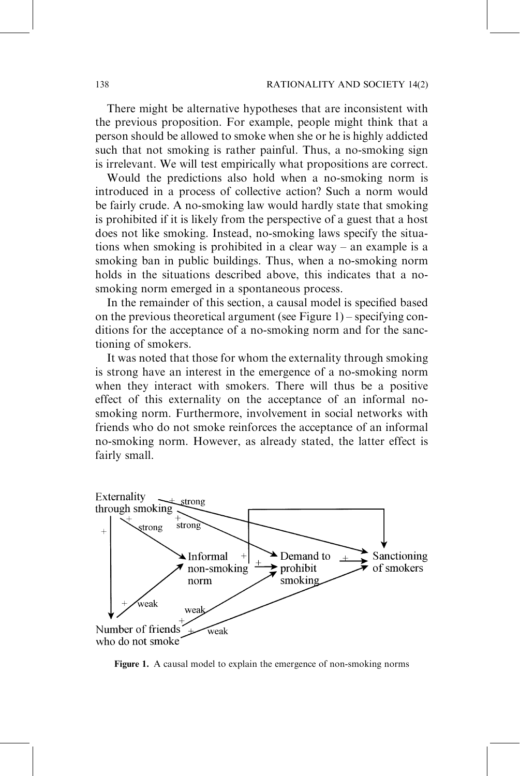There might be alternative hypotheses that are inconsistent with the previous proposition. For example, people might think that a person should be allowed to smoke when she or he is highly addicted such that not smoking is rather painful. Thus, a no-smoking sign is irrelevant. We will test empirically what propositions are correct.

Would the predictions also hold when a no-smoking norm is introduced in a process of collective action? Such a norm would be fairly crude. A no-smoking law would hardly state that smoking is prohibited if it is likely from the perspective of a guest that a host does not like smoking. Instead, no-smoking laws specify the situations when smoking is prohibited in a clear way – an example is a smoking ban in public buildings. Thus, when a no-smoking norm holds in the situations described above, this indicates that a nosmoking norm emerged in a spontaneous process.

In the remainder of this section, a causal model is specified based on the previous theoretical argument (see Figure 1) – specifying conditions for the acceptance of a no-smoking norm and for the sanctioning of smokers.

It was noted that those for whom the externality through smoking is strong have an interest in the emergence of a no-smoking norm when they interact with smokers. There will thus be a positive effect of this externality on the acceptance of an informal nosmoking norm. Furthermore, involvement in social networks with friends who do not smoke reinforces the acceptance of an informal no-smoking norm. However, as already stated, the latter effect is fairly small.



Figure 1. A causal model to explain the emergence of non-smoking norms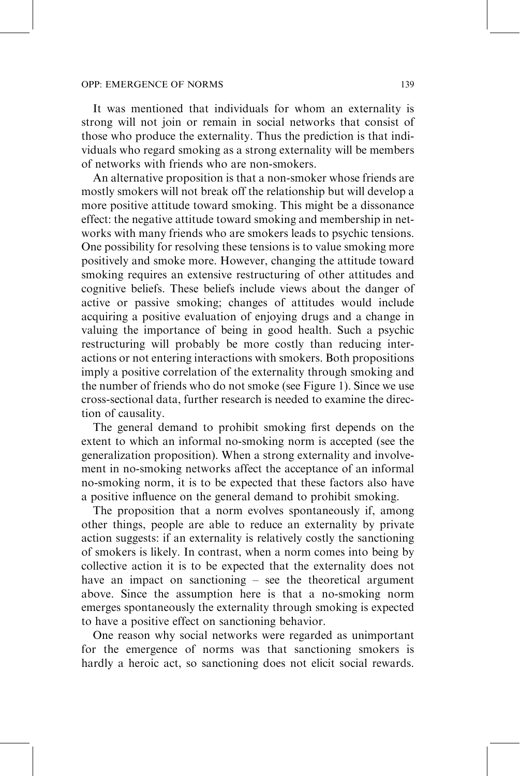It was mentioned that individuals for whom an externality is strong will not join or remain in social networks that consist of those who produce the externality. Thus the prediction is that individuals who regard smoking as a strong externality will be members of networks with friends who are non-smokers.

An alternative proposition is that a non-smoker whose friends are mostly smokers will not break off the relationship but will develop a more positive attitude toward smoking. This might be a dissonance effect: the negative attitude toward smoking and membership in networks with many friends who are smokers leads to psychic tensions. One possibility for resolving these tensions is to value smoking more positively and smoke more. However, changing the attitude toward smoking requires an extensive restructuring of other attitudes and cognitive beliefs. These beliefs include views about the danger of active or passive smoking; changes of attitudes would include acquiring a positive evaluation of enjoying drugs and a change in valuing the importance of being in good health. Such a psychic restructuring will probably be more costly than reducing interactions or not entering interactions with smokers. Both propositions imply a positive correlation of the externality through smoking and the number of friends who do not smoke (see Figure 1). Since we use cross-sectional data, further research is needed to examine the direction of causality.

The general demand to prohibit smoking first depends on the extent to which an informal no-smoking norm is accepted (see the generalization proposition). When a strong externality and involvement in no-smoking networks affect the acceptance of an informal no-smoking norm, it is to be expected that these factors also have a positive influence on the general demand to prohibit smoking.

The proposition that a norm evolves spontaneously if, among other things, people are able to reduce an externality by private action suggests: if an externality is relatively costly the sanctioning of smokers is likely. In contrast, when a norm comes into being by collective action it is to be expected that the externality does not have an impact on sanctioning  $-$  see the theoretical argument above. Since the assumption here is that a no-smoking norm emerges spontaneously the externality through smoking is expected to have a positive effect on sanctioning behavior.

One reason why social networks were regarded as unimportant for the emergence of norms was that sanctioning smokers is hardly a heroic act, so sanctioning does not elicit social rewards.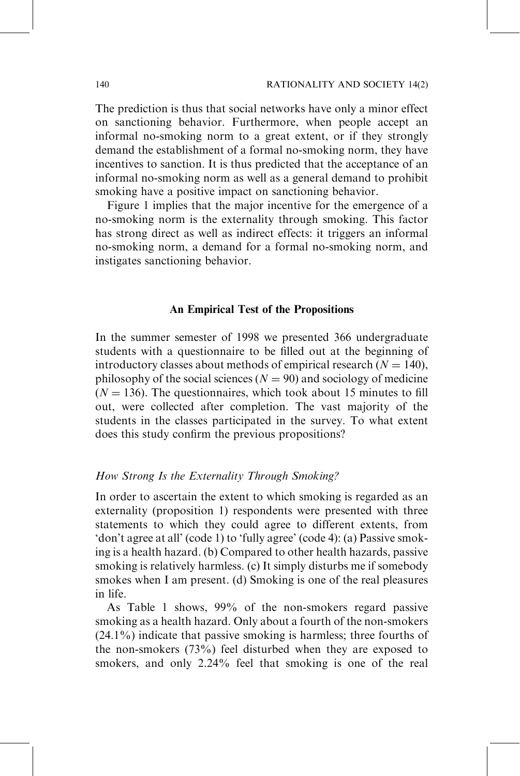The prediction is thus that social networks have only a minor effect on sanctioning behavior. Furthermore, when people accept an informal no-smoking norm to a great extent, or if they strongly demand the establishment of a formal no-smoking norm, they have incentives to sanction. It is thus predicted that the acceptance of an informal no-smoking norm as well as a general demand to prohibit smoking have a positive impact on sanctioning behavior.

Figure 1 implies that the major incentive for the emergence of a no-smoking norm is the externality through smoking. This factor has strong direct as well as indirect effects: it triggers an informal no-smoking norm, a demand for a formal no-smoking norm, and instigates sanctioning behavior.

## An Empirical Test of the Propositions

In the summer semester of 1998 we presented 366 undergraduate students with a questionnaire to be filled out at the beginning of introductory classes about methods of empirical research  $(N = 140)$ , philosophy of the social sciences ( $N = 90$ ) and sociology of medicine  $(N = 136)$ . The questionnaires, which took about 15 minutes to fill out, were collected after completion. The vast majority of the students in the classes participated in the survey. To what extent does this study confirm the previous propositions?

## How Strong Is the Externality Through Smoking?

In order to ascertain the extent to which smoking is regarded as an externality (proposition 1) respondents were presented with three statements to which they could agree to different extents, from 'don't agree at all' (code 1) to 'fully agree' (code 4): (a) Passive smoking is a health hazard. (b) Compared to other health hazards, passive smoking is relatively harmless. (c) It simply disturbs me if somebody smokes when I am present. (d) Smoking is one of the real pleasures in life

As Table 1 shows, 99% of the non-smokers regard passive smoking as a health hazard. Only about a fourth of the non-smokers  $(24.1\%)$  indicate that passive smoking is harmless; three fourths of the non-smokers  $(73%)$  feel disturbed when they are exposed to smokers, and only 2.24% feel that smoking is one of the real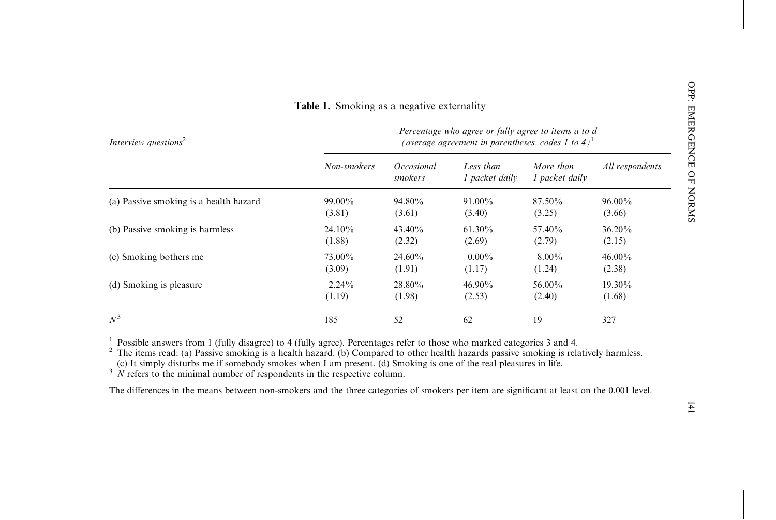| Interview questions <sup>2</sup>       |             | Percentage who agree or fully agree to items a to d<br>(average agreement in parentheses, codes 1 to 4) <sup>1</sup> |                             |                             |                 |  |  |
|----------------------------------------|-------------|----------------------------------------------------------------------------------------------------------------------|-----------------------------|-----------------------------|-----------------|--|--|
|                                        | Non-smokers | <i>Occasional</i><br>smokers                                                                                         | Less than<br>1 packet daily | More than<br>1 packet daily | All respondents |  |  |
| (a) Passive smoking is a health hazard | 99.00%      | 94.80%                                                                                                               | 91.00%                      | 87.50%                      | 96.00%          |  |  |
|                                        | (3.81)      | (3.61)                                                                                                               | (3.40)                      | (3.25)                      | (3.66)          |  |  |
| (b) Passive smoking is harmless        | 24.10%      | 43.40%                                                                                                               | 61.30%                      | 57.40%                      | 36.20%          |  |  |
|                                        | (1.88)      | (2.32)                                                                                                               | (2.69)                      | (2.79)                      | (2.15)          |  |  |
| (c) Smoking bothers me                 | 73.00%      | 24.60%                                                                                                               | $0.00\%$                    | $8.00\%$                    | 46.00%          |  |  |
|                                        | (3.09)      | (1.91)                                                                                                               | (1.17)                      | (1.24)                      | (2.38)          |  |  |
| (d) Smoking is pleasure                | $2.24\%$    | 28.80%                                                                                                               | 46.90%                      | 56.00%                      | 19.30%          |  |  |
|                                        | (1.19)      | (1.98)                                                                                                               | (2.53)                      | (2.40)                      | (1.68)          |  |  |
| $N^3$                                  | 185         | 52                                                                                                                   | 62                          | 19                          | 327             |  |  |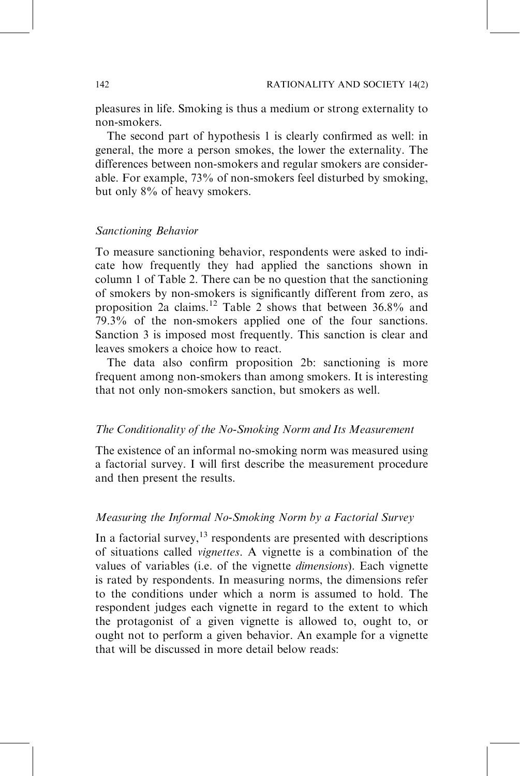pleasures in life. Smoking is thus a medium or strong externality to non-smokers.

The second part of hypothesis 1 is clearly confirmed as well: in general, the more a person smokes, the lower the externality. The differences between non-smokers and regular smokers are considerable. For example, 73% of non-smokers feel disturbed by smoking, but only 8% of heavy smokers.

#### **Sanctioning Behavior**

To measure sanctioning behavior, respondents were asked to indicate how frequently they had applied the sanctions shown in column 1 of Table 2. There can be no question that the sanctioning of smokers by non-smokers is significantly different from zero, as proposition 2a claims.<sup>12</sup> Table 2 shows that between  $36.8\%$  and 79.3% of the non-smokers applied one of the four sanctions. Sanction 3 is imposed most frequently. This sanction is clear and leaves smokers a choice how to react.

The data also confirm proposition 2b: sanctioning is more frequent among non-smokers than among smokers. It is interesting that not only non-smokers sanction, but smokers as well.

## The Conditionality of the No-Smoking Norm and Its Measurement

The existence of an informal no-smoking norm was measured using a factorial survey. I will first describe the measurement procedure and then present the results.

## Measuring the Informal No-Smoking Norm by a Factorial Survey

In a factorial survey,  $^{13}$  respondents are presented with descriptions of situations called *vignettes*. A vignette is a combination of the values of variables (i.e. of the vignette *dimensions*). Each vignette is rated by respondents. In measuring norms, the dimensions refer to the conditions under which a norm is assumed to hold. The respondent judges each vignette in regard to the extent to which the protagonist of a given vignette is allowed to, ought to, or ought not to perform a given behavior. An example for a vignette that will be discussed in more detail below reads: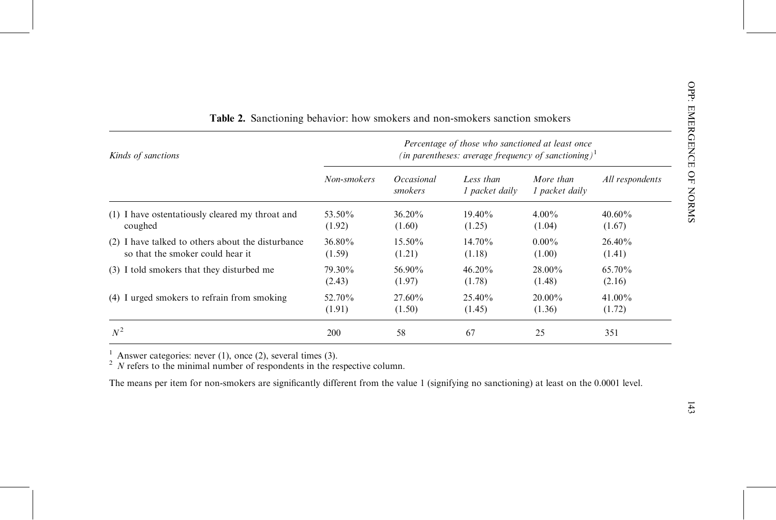| Kinds of sanctions                                | Percentage of those who sanctioned at least once<br>(in parentheses: average frequency of sanctioning) <sup>1</sup> |                              |                             |                             |                 |  |
|---------------------------------------------------|---------------------------------------------------------------------------------------------------------------------|------------------------------|-----------------------------|-----------------------------|-----------------|--|
|                                                   | Non-smokers                                                                                                         | <i>Occasional</i><br>smokers | Less than<br>1 packet daily | More than<br>1 packet daily | All respondents |  |
| (1) I have ostentatiously cleared my throat and   | 53.50%                                                                                                              | $36.20\%$                    | $19.40\%$                   | $4.00\%$                    | $40.60\%$       |  |
| coughed                                           | (1.92)                                                                                                              | (1.60)                       | (1.25)                      | (1.04)                      | (1.67)          |  |
| (2) I have talked to others about the disturbance | 36.80%                                                                                                              | 15.50%                       | $14.70\%$                   | $0.00\%$                    | $26.40\%$       |  |
| so that the smoker could hear it                  | (1.59)                                                                                                              | (1.21)                       | (1.18)                      | (1.00)                      | (1.41)          |  |
| (3) I told smokers that they disturbed me         | 79.30%                                                                                                              | 56.90%                       | $46.20\%$                   | $28.00\%$                   | 65.70%          |  |
|                                                   | (2.43)                                                                                                              | (1.97)                       | (1.78)                      | (1.48)                      | (2.16)          |  |
| (4) I urged smokers to refrain from smoking       | 52.70%                                                                                                              | 27.60%                       | 25.40%                      | $20.00\%$                   | $41.00\%$       |  |
|                                                   | (1.91)                                                                                                              | (1.50)                       | (1.45)                      | (1.36)                      | (1.72)          |  |
| $N^2$                                             | 200                                                                                                                 | 58                           | 67                          | 25                          | 351             |  |

Table 2. Sanctioning behavior: how smokers and non-smokers sanction smokers

<sup>1</sup> Answer categories: never (1), once (2), several times (3).<br><sup>2</sup> *N* refers to the minimal number of respondents in the respective column.

The means per item for non-smokers are significantly different from the value 1 (signifying no sanctioning) at least on the 0.0001 level.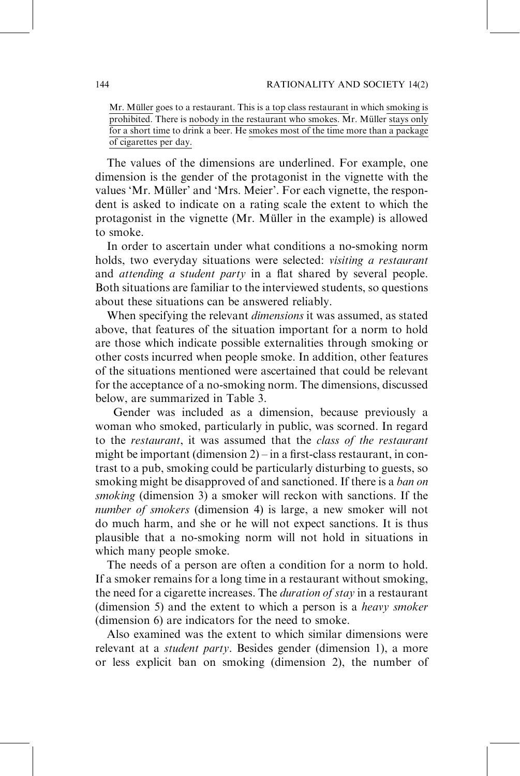Mr. Müller goes to a restaurant. This is a top class restaurant in which smoking is prohibited. There is nobody in the restaurant who smokes. Mr. Müller stays only for a short time to drink a beer. He smokes most of the time more than a package of cigarettes per day.

The values of the dimensions are underlined. For example, one dimension is the gender of the protagonist in the vignette with the values 'Mr. Müller' and 'Mrs. Meier'. For each vignette, the respondent is asked to indicate on a rating scale the extent to which the protagonist in the vignette (Mr. Müller in the example) is allowed to smoke

In order to ascertain under what conditions a no-smoking norm holds, two everyday situations were selected: *visiting a restaurant* and *attending a student party* in a flat shared by several people. Both situations are familiar to the interviewed students, so questions about these situations can be answered reliably.

When specifying the relevant *dimensions* it was assumed, as stated above, that features of the situation important for a norm to hold are those which indicate possible externalities through smoking or other costs incurred when people smoke. In addition, other features of the situations mentioned were ascertained that could be relevant for the acceptance of a no-smoking norm. The dimensions, discussed below, are summarized in Table 3.

Gender was included as a dimension, because previously a woman who smoked, particularly in public, was scorned. In regard to the restaurant, it was assumed that the class of the restaurant might be important (dimension  $2$ ) – in a first-class restaurant, in contrast to a pub, smoking could be particularly disturbing to guests, so smoking might be disapproved of and sanctioned. If there is a ban on *smoking* (dimension 3) a smoker will reckon with sanctions. If the number of smokers (dimension 4) is large, a new smoker will not do much harm, and she or he will not expect sanctions. It is thus plausible that a no-smoking norm will not hold in situations in which many people smoke.

The needs of a person are often a condition for a norm to hold. If a smoker remains for a long time in a restaurant without smoking, the need for a cigarette increases. The *duration of stay* in a restaurant (dimension 5) and the extent to which a person is a *heavy smoker* (dimension 6) are indicators for the need to smoke.

Also examined was the extent to which similar dimensions were relevant at a *student party*. Besides gender (dimension 1), a more or less explicit ban on smoking (dimension 2), the number of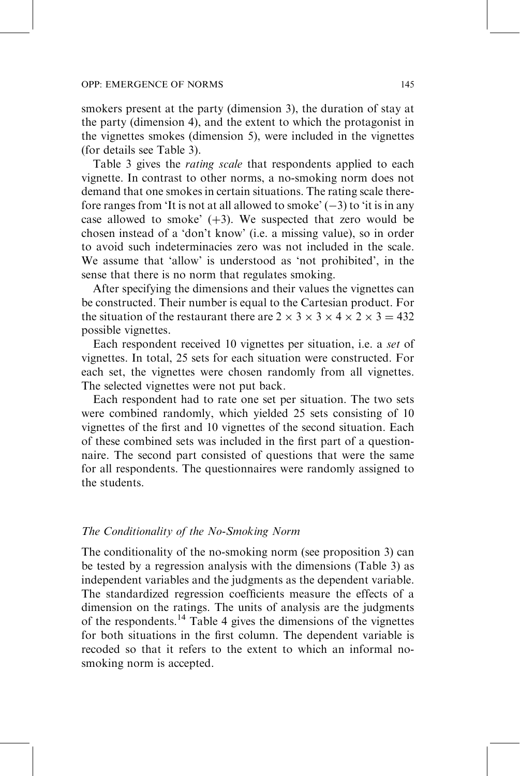smokers present at the party (dimension 3), the duration of stay at the party (dimension 4), and the extent to which the protagonist in the vignettes smokes (dimension 5), were included in the vignettes (for details see Table 3).

Table 3 gives the *rating scale* that respondents applied to each vignette. In contrast to other norms, a no-smoking norm does not demand that one smokes in certain situations. The rating scale therefore ranges from 'It is not at all allowed to smoke'  $(-3)$  to 'it is in any case allowed to smoke'  $(+3)$ . We suspected that zero would be chosen instead of a 'don't know' (i.e. a missing value), so in order to avoid such indeterminacies zero was not included in the scale. We assume that 'allow' is understood as 'not prohibited', in the sense that there is no norm that regulates smoking.

After specifying the dimensions and their values the vignettes can be constructed. Their number is equal to the Cartesian product. For the situation of the restaurant there are  $2 \times 3 \times 3 \times 4 \times 2 \times 3 = 432$ possible vignettes.

Each respondent received 10 vignettes per situation, *i.e.* a *set* of vignettes. In total, 25 sets for each situation were constructed. For each set, the vignettes were chosen randomly from all vignettes. The selected vignettes were not put back.

Each respondent had to rate one set per situation. The two sets were combined randomly, which yielded 25 sets consisting of 10 vignettes of the first and 10 vignettes of the second situation. Each of these combined sets was included in the first part of a questionnaire. The second part consisted of questions that were the same for all respondents. The questionnaires were randomly assigned to the students.

## The Conditionality of the No-Smoking Norm

The conditionality of the no-smoking norm (see proposition 3) can be tested by a regression analysis with the dimensions (Table 3) as independent variables and the judgments as the dependent variable. The standardized regression coefficients measure the effects of a dimension on the ratings. The units of analysis are the judgments of the respondents.<sup>14</sup> Table 4 gives the dimensions of the vignettes for both situations in the first column. The dependent variable is recoded so that it refers to the extent to which an informal nosmoking norm is accepted.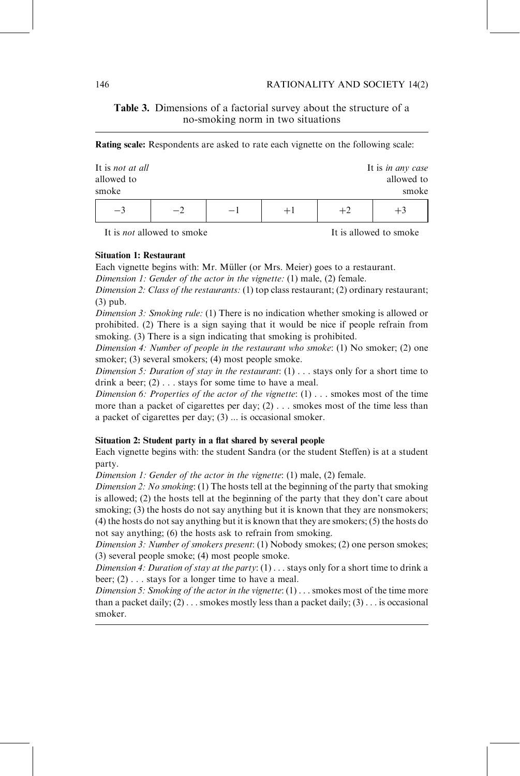Table 3. Dimensions of a factorial survey about the structure of a no-smoking norm in two situations

Rating scale: Respondents are asked to rate each vignette on the following scale:

| It is not at all<br>allowed to<br>smoke |      |      |      |      | It is in any case<br>allowed to<br>smoke |
|-----------------------------------------|------|------|------|------|------------------------------------------|
| $-3$                                    | $-2$ | $-1$ | $+1$ | $+2$ | $+3$                                     |

It is *not* allowed to smoke

It is allowed to smoke

#### **Situation 1: Restaurant**

Each vignette begins with: Mr. Müller (or Mrs. Meier) goes to a restaurant.

Dimension 1: Gender of the actor in the vignette: (1) male, (2) female.

Dimension 2: Class of the restaurants: (1) top class restaurant; (2) ordinary restaurant;  $(3)$  pub.

*Dimension 3: Smoking rule:* (1) There is no indication whether smoking is allowed or prohibited. (2) There is a sign saying that it would be nice if people refrain from smoking. (3) There is a sign indicating that smoking is prohibited.

Dimension 4: Number of people in the restaurant who smoke: (1) No smoker; (2) one smoker; (3) several smokers; (4) most people smoke.

Dimension 5: Duration of stay in the restaurant:  $(1)$ ... stays only for a short time to drink a beer;  $(2)$ ... stays for some time to have a meal.

Dimension 6: Properties of the actor of the vignette:  $(1)$ ... smokes most of the time more than a packet of cigarettes per day;  $(2)$ ... smokes most of the time less than a packet of cigarettes per day;  $(3)$  ... is occasional smoker.

## Situation 2: Student party in a flat shared by several people

Each vignette begins with: the student Sandra (or the student Steffen) is at a student party.

Dimension 1: Gender of the actor in the vignette: (1) male, (2) female.

*Dimension 2: No smoking:* (1) The hosts tell at the beginning of the party that smoking is allowed; (2) the hosts tell at the beginning of the party that they don't care about smoking; (3) the hosts do not say anything but it is known that they are nonsmokers;  $(4)$  the hosts do not say anything but it is known that they are smokers;  $(5)$  the hosts do not say anything; (6) the hosts ask to refrain from smoking.

Dimension 3: Number of smokers present: (1) Nobody smokes; (2) one person smokes; (3) several people smoke; (4) most people smoke.

Dimension 4: Duration of stay at the party:  $(1)$ ... stays only for a short time to drink a beer;  $(2)$ ... stays for a longer time to have a meal.

Dimension 5: Smoking of the actor in the vignette:  $(1)$ ... smokes most of the time more than a packet daily;  $(2)$ ... smokes mostly less than a packet daily;  $(3)$ ... is occasional smoker.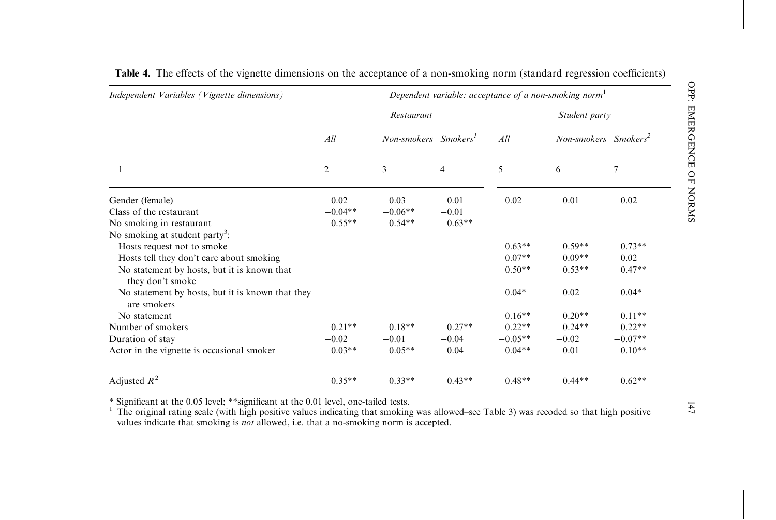| Independent Variables (Vignette dimensions)                     | Dependent variable: acceptance of a non-smoking norm <sup>1</sup> |                                  |                |               |                                  |                |
|-----------------------------------------------------------------|-------------------------------------------------------------------|----------------------------------|----------------|---------------|----------------------------------|----------------|
|                                                                 | Restaurant                                                        |                                  |                | Student party |                                  |                |
|                                                                 | All                                                               | Non-smokers Smokers <sup>1</sup> |                | All           | Non-smokers Smokers <sup>2</sup> |                |
|                                                                 | $\overline{c}$                                                    | 3                                | $\overline{4}$ | 5             | 6                                | $\overline{7}$ |
| Gender (female)                                                 | 0.02                                                              | 0.03                             | 0.01           | $-0.02$       | $-0.01$                          | $-0.02$        |
| Class of the restaurant                                         | $-0.04**$                                                         | $-0.06**$                        | $-0.01$        |               |                                  |                |
| No smoking in restaurant                                        | $0.55**$                                                          | $0.54**$                         | $0.63**$       |               |                                  |                |
| No smoking at student party <sup>3</sup> :                      |                                                                   |                                  |                |               |                                  |                |
| Hosts request not to smoke                                      |                                                                   |                                  |                | $0.63**$      | $0.59**$                         | $0.73**$       |
| Hosts tell they don't care about smoking                        |                                                                   |                                  |                | $0.07**$      | $0.09**$                         | 0.02           |
| No statement by hosts, but it is known that<br>they don't smoke |                                                                   |                                  |                | $0.50**$      | $0.53**$                         | $0.47**$       |
| No statement by hosts, but it is known that they<br>are smokers |                                                                   |                                  |                | $0.04*$       | 0.02                             | $0.04*$        |
| No statement                                                    |                                                                   |                                  |                | $0.16**$      | $0.20**$                         | $0.11**$       |
| Number of smokers                                               | $-0.21**$                                                         | $-0.18**$                        | $-0.27**$      | $-0.22**$     | $-0.24**$                        | $-0.22**$      |
| Duration of stay                                                | $-0.02$                                                           | $-0.01$                          | $-0.04$        | $-0.05**$     | $-0.02$                          | $-0.07**$      |
| Actor in the vignette is occasional smoker                      | $0.03**$                                                          | $0.05**$                         | 0.04           | $0.04**$      | 0.01                             | $0.10**$       |
| Adjusted $R^2$                                                  | $0.35**$                                                          | $0.33**$                         | $0.43**$       | $0.48**$      | $0.44**$                         | $0.62**$       |

Table 4. The effects of the vignette dimensions on the acceptance of a non-smoking norm (standard regression coefficients)

\* Significant at the 0.05 level; \*\*significant at the 0.01 level, one-tailed tests.<br><sup>1</sup> The original rating scale (with high positive values indicating that smoking was allowed–see Table 3) was recoded so that high positiv values indicate that smoking is *not* allowed, i.e. that a no-smoking norm is accepted.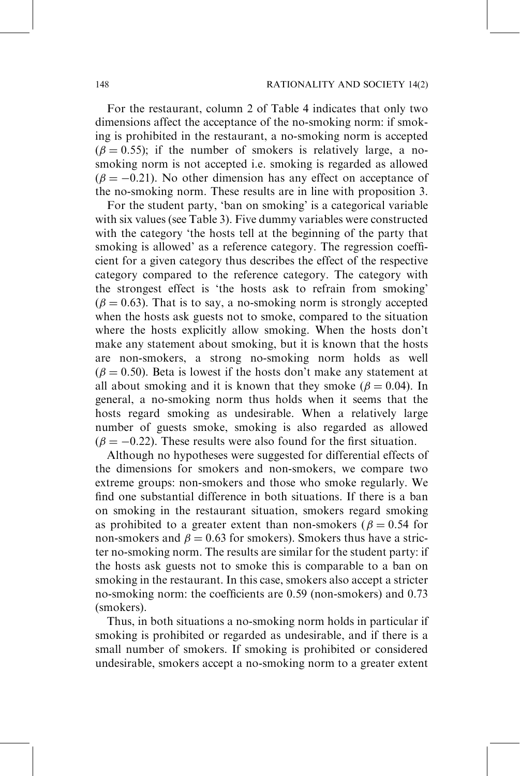For the restaurant, column 2 of Table 4 indicates that only two dimensions affect the acceptance of the no-smoking norm: if smoking is prohibited in the restaurant, a no-smoking norm is accepted  $(\beta = 0.55)$ ; if the number of smokers is relatively large, a nosmoking norm is not accepted *i.e.* smoking is regarded as allowed  $(\beta = -0.21)$ . No other dimension has any effect on acceptance of the no-smoking norm. These results are in line with proposition 3.

For the student party, 'ban on smoking' is a categorical variable with six values (see Table 3). Five dummy variables were constructed with the category 'the hosts tell at the beginning of the party that smoking is allowed' as a reference category. The regression coefficient for a given category thus describes the effect of the respective category compared to the reference category. The category with the strongest effect is 'the hosts ask to refrain from smoking'  $(\beta = 0.63)$ . That is to say, a no-smoking norm is strongly accepted when the hosts ask guests not to smoke, compared to the situation where the hosts explicitly allow smoking. When the hosts don't make any statement about smoking, but it is known that the hosts are non-smokers, a strong no-smoking norm holds as well  $(\beta = 0.50)$ . Beta is lowest if the hosts don't make any statement at all about smoking and it is known that they smoke ( $\beta = 0.04$ ). In general, a no-smoking norm thus holds when it seems that the hosts regard smoking as undesirable. When a relatively large number of guests smoke, smoking is also regarded as allowed  $(\beta = -0.22)$ . These results were also found for the first situation.

Although no hypotheses were suggested for differential effects of the dimensions for smokers and non-smokers, we compare two extreme groups: non-smokers and those who smoke regularly. We find one substantial difference in both situations. If there is a ban on smoking in the restaurant situation, smokers regard smoking as prohibited to a greater extent than non-smokers ( $\beta = 0.54$  for non-smokers and  $\beta = 0.63$  for smokers). Smokers thus have a stricter no-smoking norm. The results are similar for the student party: if the hosts ask guests not to smoke this is comparable to a ban on smoking in the restaurant. In this case, smokers also accept a stricter no-smoking norm: the coefficients are 0.59 (non-smokers) and 0.73 (smokers).

Thus, in both situations a no-smoking norm holds in particular if smoking is prohibited or regarded as undesirable, and if there is a small number of smokers. If smoking is prohibited or considered undesirable, smokers accept a no-smoking norm to a greater extent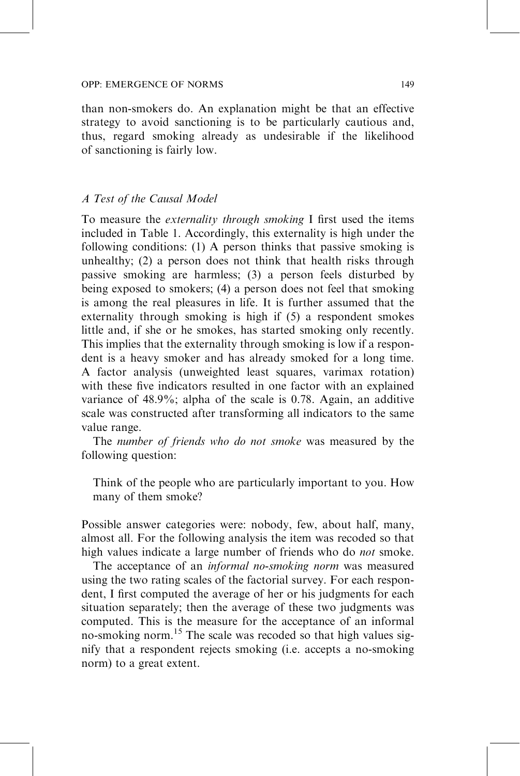than non-smokers do. An explanation might be that an effective strategy to avoid sanctioning is to be particularly cautious and, thus, regard smoking already as undesirable if the likelihood of sanctioning is fairly low.

#### A Test of the Causal Model

To measure the *externality through smoking* I first used the items included in Table 1. Accordingly, this externality is high under the following conditions: (1) A person thinks that passive smoking is unhealthy; (2) a person does not think that health risks through passive smoking are harmless; (3) a person feels disturbed by being exposed to smokers; (4) a person does not feel that smoking is among the real pleasures in life. It is further assumed that the externality through smoking is high if (5) a respondent smokes little and, if she or he smokes, has started smoking only recently. This implies that the externality through smoking is low if a respondent is a heavy smoker and has already smoked for a long time. A factor analysis (unweighted least squares, varimax rotation) with these five indicators resulted in one factor with an explained variance of 48.9%; alpha of the scale is 0.78. Again, an additive scale was constructed after transforming all indicators to the same value range.

The number of friends who do not smoke was measured by the following question:

Think of the people who are particularly important to you. How many of them smoke?

Possible answer categories were: nobody, few, about half, many, almost all. For the following analysis the item was recoded so that high values indicate a large number of friends who do *not* smoke.

The acceptance of an *informal no-smoking norm* was measured using the two rating scales of the factorial survey. For each respondent, I first computed the average of her or his judgments for each situation separately; then the average of these two judgments was computed. This is the measure for the acceptance of an informal no-smoking norm.<sup>15</sup> The scale was recoded so that high values signify that a respondent rejects smoking (i.e. accepts a no-smoking norm) to a great extent.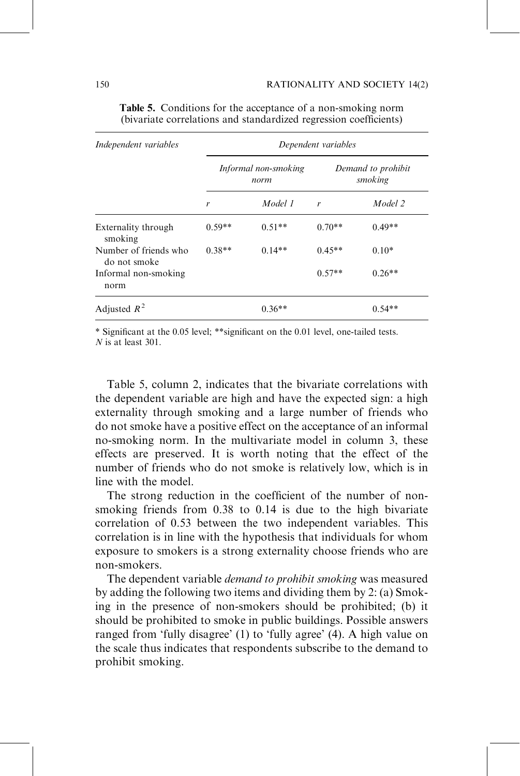| Independent variables                 | Dependent variables |                              |                               |          |  |  |
|---------------------------------------|---------------------|------------------------------|-------------------------------|----------|--|--|
|                                       |                     | Informal non-smoking<br>norm | Demand to prohibit<br>smoking |          |  |  |
|                                       | r                   | Model 1                      | r                             | Model 2  |  |  |
| Externality through<br>smoking        | $0.59**$            | $0.51**$                     | $0.70**$                      | $0.49**$ |  |  |
| Number of friends who<br>do not smoke | $0.38**$            | $0.14**$                     | $0.45**$                      | $0.10*$  |  |  |
| Informal non-smoking<br>norm          |                     |                              | $0.57**$                      | $0.26**$ |  |  |
| Adjusted $R^2$                        |                     | $0.36**$                     |                               | $0.54**$ |  |  |

**Table 5.** Conditions for the acceptance of a non-smoking norm (bivariate correlations and standardized regression coefficients)

\* Significant at the 0.05 level; \*\* significant on the 0.01 level, one-tailed tests.  $N$  is at least 301.

Table 5, column 2, indicates that the bivariate correlations with the dependent variable are high and have the expected sign: a high externality through smoking and a large number of friends who do not smoke have a positive effect on the acceptance of an informal no-smoking norm. In the multivariate model in column 3, these effects are preserved. It is worth noting that the effect of the number of friends who do not smoke is relatively low, which is in line with the model.

The strong reduction in the coefficient of the number of nonsmoking friends from 0.38 to 0.14 is due to the high bivariate correlation of 0.53 between the two independent variables. This correlation is in line with the hypothesis that individuals for whom exposure to smokers is a strong externality choose friends who are non-smokers.

The dependent variable *demand to prohibit smoking* was measured by adding the following two items and dividing them by 2: (a) Smoking in the presence of non-smokers should be prohibited; (b) it should be prohibited to smoke in public buildings. Possible answers ranged from 'fully disagree' (1) to 'fully agree' (4). A high value on the scale thus indicates that respondents subscribe to the demand to prohibit smoking.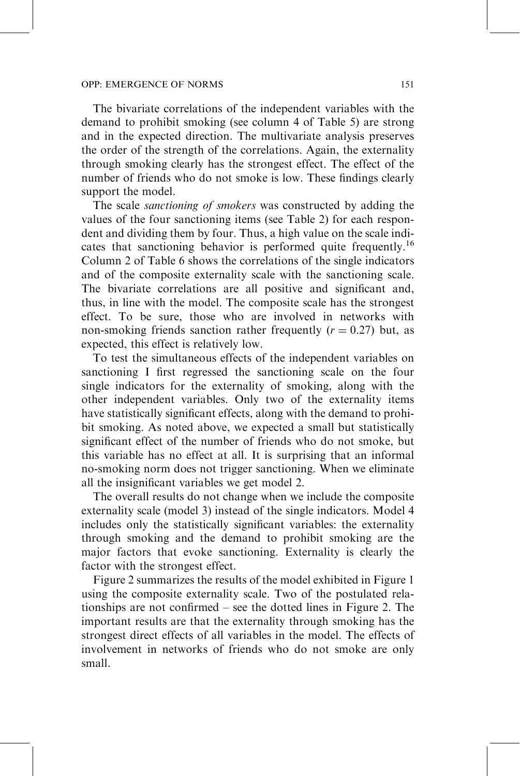The bivariate correlations of the independent variables with the demand to prohibit smoking (see column 4 of Table 5) are strong and in the expected direction. The multivariate analysis preserves the order of the strength of the correlations. Again, the externality through smoking clearly has the strongest effect. The effect of the number of friends who do not smoke is low. These findings clearly support the model.

The scale *sanctioning of smokers* was constructed by adding the values of the four sanctioning items (see Table 2) for each respondent and dividing them by four. Thus, a high value on the scale indicates that sanctioning behavior is performed quite frequently.<sup>16</sup> Column 2 of Table 6 shows the correlations of the single indicators and of the composite externality scale with the sanctioning scale. The bivariate correlations are all positive and significant and, thus, in line with the model. The composite scale has the strongest effect. To be sure, those who are involved in networks with non-smoking friends sanction rather frequently  $(r = 0.27)$  but, as expected, this effect is relatively low.

To test the simultaneous effects of the independent variables on sanctioning I first regressed the sanctioning scale on the four single indicators for the externality of smoking, along with the other independent variables. Only two of the externality items have statistically significant effects, along with the demand to prohibit smoking. As noted above, we expected a small but statistically significant effect of the number of friends who do not smoke, but this variable has no effect at all. It is surprising that an informal no-smoking norm does not trigger sanctioning. When we eliminate all the insignificant variables we get model 2.

The overall results do not change when we include the composite externality scale (model 3) instead of the single indicators. Model 4 includes only the statistically significant variables: the externality through smoking and the demand to prohibit smoking are the major factors that evoke sanctioning. Externality is clearly the factor with the strongest effect.

Figure 2 summarizes the results of the model exhibited in Figure 1 using the composite externality scale. Two of the postulated relationships are not confirmed  $-$  see the dotted lines in Figure 2. The important results are that the externality through smoking has the strongest direct effects of all variables in the model. The effects of involvement in networks of friends who do not smoke are only small.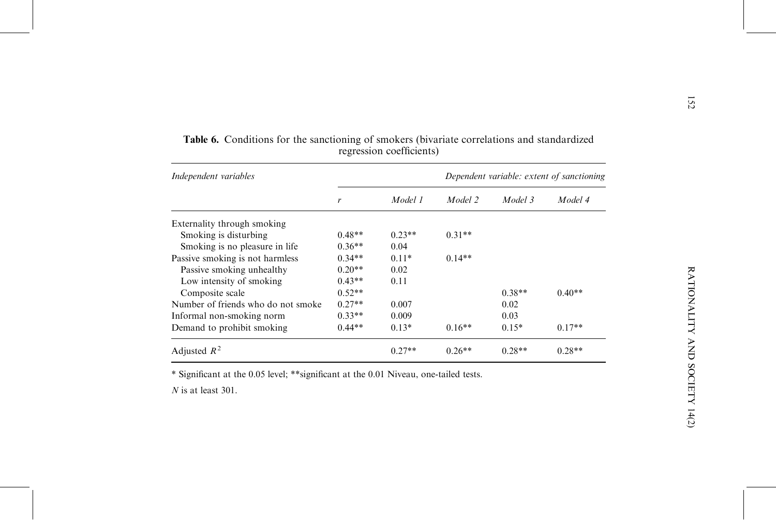| Independent variables              |          |          |          | Dependent variable: extent of sanctioning |          |
|------------------------------------|----------|----------|----------|-------------------------------------------|----------|
|                                    | r        | Model 1  | Model 2  | Model 3                                   | Model 4  |
| Externality through smoking        |          |          |          |                                           |          |
| Smoking is disturbing              | $0.48**$ | $0.23**$ | $0.31**$ |                                           |          |
| Smoking is no pleasure in life.    | $0.36**$ | 0.04     |          |                                           |          |
| Passive smoking is not harmless    | $0.34**$ | $0.11*$  | $0.14**$ |                                           |          |
| Passive smoking unhealthy          | $0.20**$ | 0.02     |          |                                           |          |
| Low intensity of smoking           | $0.43**$ | 0.11     |          |                                           |          |
| Composite scale                    | $0.52**$ |          |          | $0.38**$                                  | $0.40**$ |
| Number of friends who do not smoke | $0.27**$ | 0.007    |          | 0.02                                      |          |
| Informal non-smoking norm          | $0.33**$ | 0.009    |          | 0.03                                      |          |
| Demand to prohibit smoking         | $0.44**$ | $0.13*$  | $0.16**$ | $0.15*$                                   | $0.17**$ |
| Adjusted $R^2$                     |          | $0.27**$ | $0.26**$ | $0.28**$                                  | $0.28**$ |

Table 6. Conditions for the sanctioning of smokers (bivariate correlations and standardized regression coefficients)

\* Significant at the 0.05 level; \*\* significant at the 0.01 Niveau, one-tailed tests.

 $N$  is at least 301.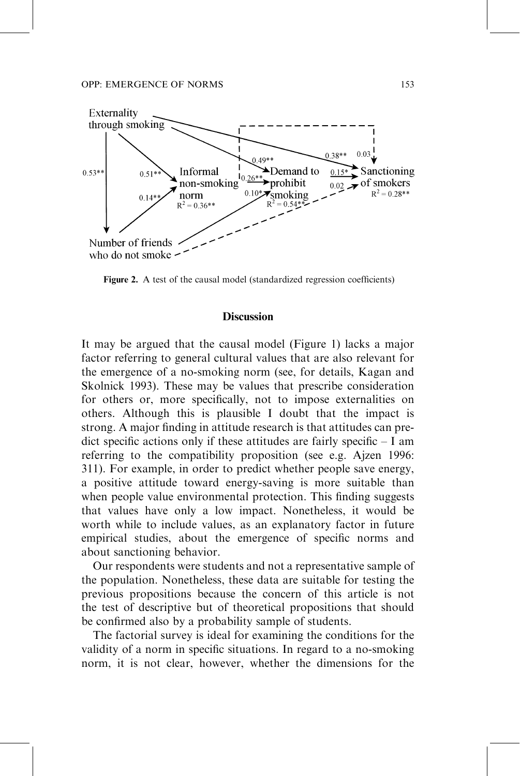

Figure 2. A test of the causal model (standardized regression coefficients)

#### **Discussion**

It may be argued that the causal model (Figure 1) lacks a major factor referring to general cultural values that are also relevant for the emergence of a no-smoking norm (see, for details, Kagan and Skolnick 1993). These may be values that prescribe consideration for others or, more specifically, not to impose externalities on others. Although this is plausible I doubt that the impact is strong. A major finding in attitude research is that attitudes can predict specific actions only if these attitudes are fairly specific  $- I$  am referring to the compatibility proposition (see e.g. Ajzen 1996: 311). For example, in order to predict whether people save energy, a positive attitude toward energy-saving is more suitable than when people value environmental protection. This finding suggests that values have only a low impact. Nonetheless, it would be worth while to include values, as an explanatory factor in future empirical studies, about the emergence of specific norms and about sanctioning behavior.

Our respondents were students and not a representative sample of the population. Nonetheless, these data are suitable for testing the previous propositions because the concern of this article is not the test of descriptive but of theoretical propositions that should be confirmed also by a probability sample of students.

The factorial survey is ideal for examining the conditions for the validity of a norm in specific situations. In regard to a no-smoking norm, it is not clear, however, whether the dimensions for the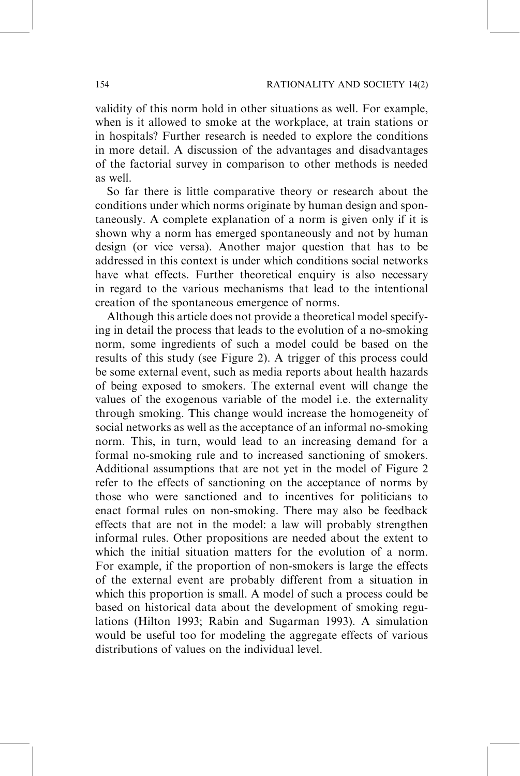validity of this norm hold in other situations as well. For example, when is it allowed to smoke at the workplace, at train stations or in hospitals? Further research is needed to explore the conditions in more detail. A discussion of the advantages and disadvantages of the factorial survey in comparison to other methods is needed as well

So far there is little comparative theory or research about the conditions under which norms originate by human design and spontaneously. A complete explanation of a norm is given only if it is shown why a norm has emerged spontaneously and not by human design (or vice versa). Another major question that has to be addressed in this context is under which conditions social networks have what effects. Further theoretical enquiry is also necessary in regard to the various mechanisms that lead to the intentional creation of the spontaneous emergence of norms.

Although this article does not provide a theoretical model specifying in detail the process that leads to the evolution of a no-smoking norm, some ingredients of such a model could be based on the results of this study (see Figure 2). A trigger of this process could be some external event, such as media reports about health hazards of being exposed to smokers. The external event will change the values of the exogenous variable of the model i.e. the externality through smoking. This change would increase the homogeneity of social networks as well as the acceptance of an informal no-smoking norm. This, in turn, would lead to an increasing demand for a formal no-smoking rule and to increased sanctioning of smokers. Additional assumptions that are not yet in the model of Figure 2 refer to the effects of sanctioning on the acceptance of norms by those who were sanctioned and to incentives for politicians to enact formal rules on non-smoking. There may also be feedback effects that are not in the model: a law will probably strengthen informal rules. Other propositions are needed about the extent to which the initial situation matters for the evolution of a norm. For example, if the proportion of non-smokers is large the effects of the external event are probably different from a situation in which this proportion is small. A model of such a process could be based on historical data about the development of smoking regulations (Hilton 1993; Rabin and Sugarman 1993). A simulation would be useful too for modeling the aggregate effects of various distributions of values on the individual level.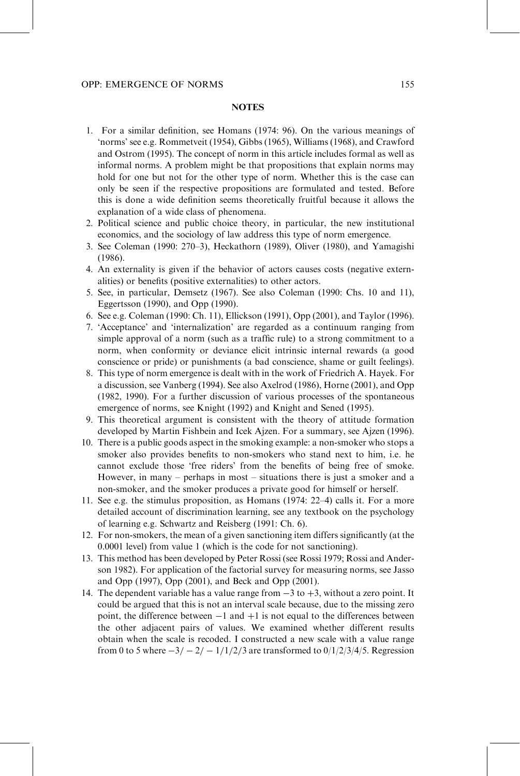#### **NOTES**

- 1. For a similar definition, see Homans (1974: 96). On the various meanings of 'norms' see e.g. Rommetveit (1954), Gibbs (1965), Williams (1968), and Crawford and Ostrom (1995). The concept of norm in this article includes formal as well as informal norms. A problem might be that propositions that explain norms may hold for one but not for the other type of norm. Whether this is the case can only be seen if the respective propositions are formulated and tested. Before this is done a wide definition seems theoretically fruitful because it allows the explanation of a wide class of phenomena.
- 2. Political science and public choice theory, in particular, the new institutional economics, and the sociology of law address this type of norm emergence.
- 3. See Coleman  $(1990: 270-3)$ . Heckathorn  $(1989)$ . Oliver  $(1980)$ . and Yamagishi  $(1986).$
- 4. An externality is given if the behavior of actors causes costs (negative externalities) or benefits (positive externalities) to other actors.
- 5. See, in particular, Demsetz (1967). See also Coleman (1990: Chs. 10 and 11), Eggertsson (1990), and Opp (1990).
- 6. See e.g. Coleman (1990: Ch. 11), Ellickson (1991), Opp (2001), and Taylor (1996).
- 7. 'Acceptance' and 'internalization' are regarded as a continuum ranging from simple approval of a norm (such as a traffic rule) to a strong commitment to a norm, when conformity or deviance elicit intrinsic internal rewards (a good conscience or pride) or punishments (a bad conscience, shame or guilt feelings).
- 8. This type of norm emergence is dealt with in the work of Friedrich A. Hayek. For a discussion, see Vanberg (1994). See also Axelrod (1986), Horne (2001), and Opp (1982, 1990). For a further discussion of various processes of the spontaneous emergence of norms, see Knight (1992) and Knight and Sened (1995).
- 9. This theoretical argument is consistent with the theory of attitude formation developed by Martin Fishbein and Icek Ajzen. For a summary, see Ajzen (1996).
- 10. There is a public goods aspect in the smoking example: a non-smoker who stops a smoker also provides benefits to non-smokers who stand next to him, i.e. he cannot exclude those 'free riders' from the benefits of being free of smoke. However, in many  $-$  perhaps in most  $-$  situations there is just a smoker and a non-smoker, and the smoker produces a private good for himself or herself.
- 11. See e.g. the stimulus proposition, as Homans (1974: 22–4) calls it. For a more detailed account of discrimination learning, see any textbook on the psychology of learning e.g. Schwartz and Reisberg (1991: Ch. 6).
- 12. For non-smokers, the mean of a given sanctioning item differs significantly (at the  $0.0001$  level) from value 1 (which is the code for not sanctioning).
- 13. This method has been developed by Peter Rossi (see Rossi 1979; Rossi and Anderson 1982). For application of the factorial survey for measuring norms, see Jasso and Opp (1997), Opp (2001), and Beck and Opp (2001).
- 14. The dependent variable has a value range from  $-3$  to  $+3$ , without a zero point. It could be argued that this is not an interval scale because, due to the missing zero point, the difference between  $-1$  and  $+1$  is not equal to the differences between the other adjacent pairs of values. We examined whether different results obtain when the scale is recoded. I constructed a new scale with a value range from 0 to 5 where  $-3/-2/-1/1/2/3$  are transformed to  $0/1/2/3/4/5$ . Regression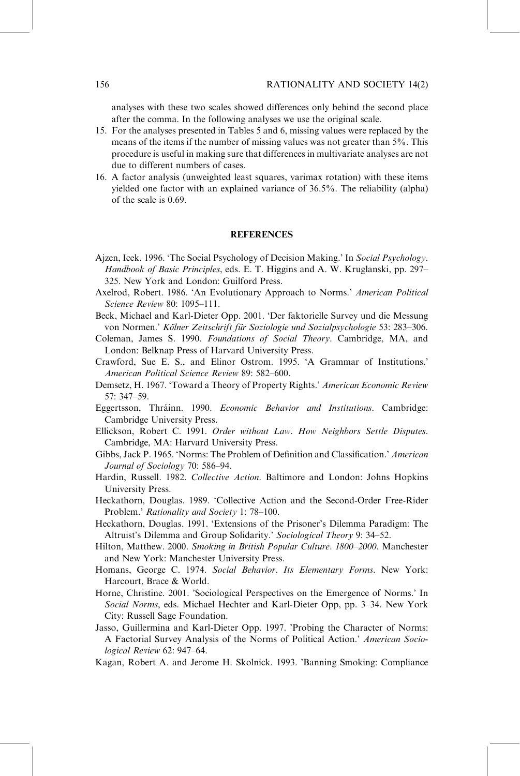analyses with these two scales showed differences only behind the second place after the comma. In the following analyses we use the original scale.

- 15. For the analyses presented in Tables 5 and 6, missing values were replaced by the means of the items if the number of missing values was not greater than 5%. This procedure is useful in making sure that differences in multivariate analyses are not due to different numbers of cases
- 16. A factor analysis (unweighted least squares, varimax rotation) with these items yielded one factor with an explained variance of 36.5%. The reliability (alpha) of the scale is 0.69.

#### **REFERENCES**

- Ajzen, Icek. 1996. 'The Social Psychology of Decision Making.' In Social Psychology. Handbook of Basic Principles, eds. E. T. Higgins and A. W. Kruglanski, pp. 297-325. New York and London: Guilford Press.
- Axelrod, Robert. 1986. 'An Evolutionary Approach to Norms.' American Political Science Review 80: 1095-111.
- Beck, Michael and Karl-Dieter Opp. 2001. 'Der faktorielle Survey und die Messung von Normen.' Kölner Zeitschrift für Soziologie und Sozialpsychologie 53: 283–306.
- Coleman, James S. 1990. Foundations of Social Theory. Cambridge, MA, and London: Belknap Press of Harvard University Press.
- Crawford, Sue E. S., and Elinor Ostrom. 1995. 'A Grammar of Institutions.' American Political Science Review 89: 582-600.
- Demsetz, H. 1967. 'Toward a Theory of Property Rights.' American Economic Review  $57:347 - 59.$
- Eggertsson, Thráinn. 1990. Economic Behavior and Institutions. Cambridge: Cambridge University Press.
- Ellickson, Robert C. 1991. Order without Law. How Neighbors Settle Disputes. Cambridge, MA: Harvard University Press.
- Gibbs, Jack P. 1965. 'Norms: The Problem of Definition and Classification.' American Journal of Sociology 70: 586-94.
- Hardin, Russell. 1982. Collective Action. Baltimore and London: Johns Hopkins University Press.
- Heckathorn, Douglas. 1989. 'Collective Action and the Second-Order Free-Rider Problem.' Rationality and Society 1: 78-100.
- Heckathorn, Douglas. 1991. 'Extensions of the Prisoner's Dilemma Paradigm: The Altruist's Dilemma and Group Solidarity.' Sociological Theory 9: 34-52.
- Hilton, Matthew. 2000. Smoking in British Popular Culture. 1800-2000. Manchester and New York: Manchester University Press.
- Homans, George C. 1974. Social Behavior. Its Elementary Forms. New York: Harcourt. Brace & World.
- Horne, Christine. 2001. 'Sociological Perspectives on the Emergence of Norms.' In Social Norms, eds. Michael Hechter and Karl-Dieter Opp, pp. 3-34. New York City: Russell Sage Foundation.
- Jasso, Guillermina and Karl-Dieter Opp. 1997. 'Probing the Character of Norms: A Factorial Survey Analysis of the Norms of Political Action.' American Sociological Review 62: 947-64.
- Kagan, Robert A. and Jerome H. Skolnick. 1993. 'Banning Smoking: Compliance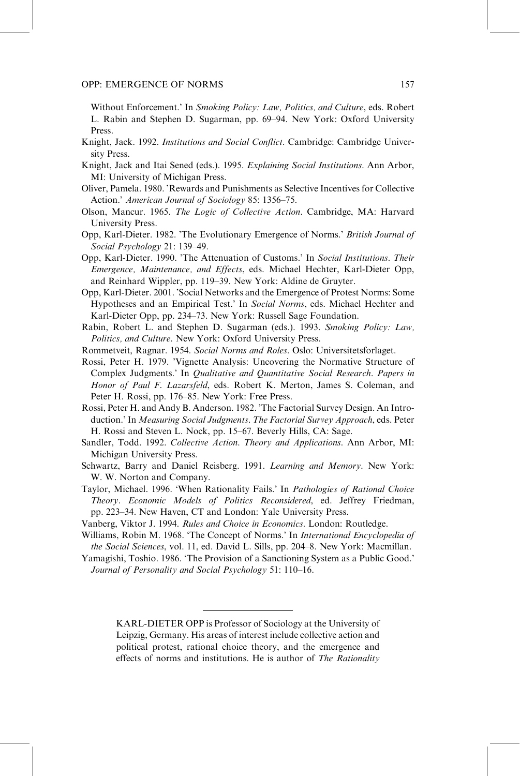Without Enforcement.' In Smoking Policy: Law, Politics, and Culture, eds. Robert L. Rabin and Stephen D. Sugarman, pp. 69–94. New York: Oxford University Press.

- Knight, Jack. 1992. Institutions and Social Conflict. Cambridge: Cambridge University Press.
- Knight, Jack and Itai Sened (eds.). 1995. Explaining Social Institutions. Ann Arbor, MI: University of Michigan Press.
- Oliver, Pamela. 1980. 'Rewards and Punishments as Selective Incentives for Collective Action.' American Journal of Sociology 85: 1356-75.
- Olson, Mancur. 1965. The Logic of Collective Action. Cambridge, MA: Harvard University Press.
- Opp, Karl-Dieter. 1982. 'The Evolutionary Emergence of Norms.' British Journal of Social Psychology 21: 139-49.
- Opp, Karl-Dieter. 1990. 'The Attenuation of Customs.' In Social Institutions. Their Emergence, Maintenance, and Effects, eds. Michael Hechter, Karl-Dieter Opp, and Reinhard Wippler, pp. 119-39. New York: Aldine de Gruyter.
- Opp, Karl-Dieter. 2001. 'Social Networks and the Emergence of Protest Norms: Some Hypotheses and an Empirical Test.' In Social Norms, eds. Michael Hechter and Karl-Dieter Opp, pp. 234–73. New York: Russell Sage Foundation.
- Rabin, Robert L. and Stephen D. Sugarman (eds.). 1993. Smoking Policy: Law, Politics, and Culture. New York: Oxford University Press.
- Rommetveit, Ragnar. 1954. Social Norms and Roles. Oslo: Universitetsforlaget.
- Rossi, Peter H. 1979. 'Vignette Analysis: Uncovering the Normative Structure of Complex Judgments.' In Qualitative and Quantitative Social Research. Papers in Honor of Paul F. Lazarsfeld, eds. Robert K. Merton, James S. Coleman, and Peter H. Rossi, pp. 176–85. New York: Free Press.
- Rossi, Peter H. and Andy B. Anderson. 1982. 'The Factorial Survey Design. An Introduction.' In Measuring Social Judgments. The Factorial Survey Approach, eds. Peter H. Rossi and Steven L. Nock, pp. 15-67. Beverly Hills, CA: Sage.
- Sandler, Todd. 1992. Collective Action. Theory and Applications. Ann Arbor, MI: Michigan University Press.
- Schwartz, Barry and Daniel Reisberg. 1991. Learning and Memory. New York: W. W. Norton and Company.
- Taylor, Michael. 1996. 'When Rationality Fails.' In Pathologies of Rational Choice Theory. Economic Models of Politics Reconsidered, ed. Jeffrey Friedman, pp. 223–34. New Haven, CT and London: Yale University Press.
- Vanberg, Viktor J. 1994. Rules and Choice in Economics. London: Routledge.
- Williams, Robin M. 1968. 'The Concept of Norms.' In International Encyclopedia of the Social Sciences, vol. 11, ed. David L. Sills, pp. 204-8. New York: Macmillan.
- Yamagishi, Toshio. 1986. 'The Provision of a Sanctioning System as a Public Good.' Journal of Personality and Social Psychology 51: 110-16.

KARL-DIETER OPP is Professor of Sociology at the University of Leipzig, Germany. His areas of interest include collective action and political protest, rational choice theory, and the emergence and effects of norms and institutions. He is author of The Rationality